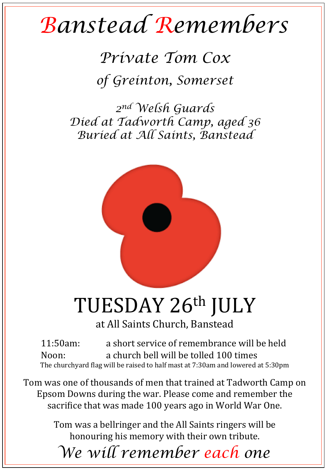## *Banstead Remembers*

*Private Tom Cox of Greinton, Somerset* 

*2nd Welsh Guards Died at Tadworth Camp, aged 36 Buried at All Saints, Banstead* 



## TUESDAY 26th JULY

at All Saints Church, Banstead

11:50am: a short service of remembrance will be held Noon: a church bell will be tolled 100 times The churchyard flag will be raised to half mast at 7:30am and lowered at 5:30pm

Tom was one of thousands of men that trained at Tadworth Camp on Epsom Downs during the war. Please come and remember the sacrifice that was made 100 years ago in World War One.

> Tom was a bellringer and the All Saints ringers will be honouring his memory with their own tribute.

*We will remember each one*